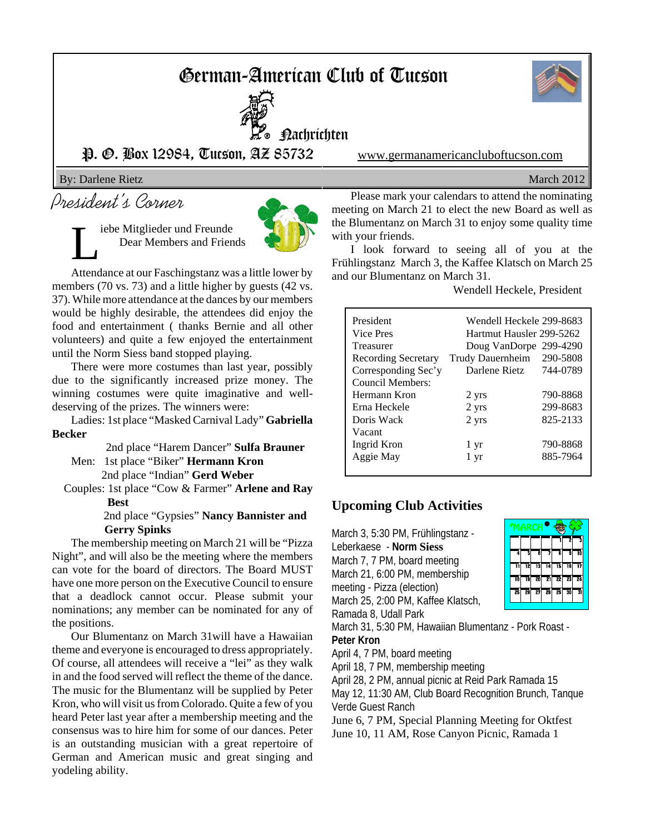# German-American Club of Tucson



L<sup>o</sup> nachrichten

P. O. Box 12984, Tucson, AZ 85732 www.germanamericancluboftucson.com

By: Darlene Rietz March 2012

# President's Corner

iebe Mitglieder und Freunde Dear Members and Friends



Attendance at our Faschingstanz was a little lower by members (70 vs. 73) and a little higher by guests (42 vs. 37). While more attendance at the dances by our members would be highly desirable, the attendees did enjoy the food and entertainment ( thanks Bernie and all other volunteers) and quite a few enjoyed the entertainment until the Norm Siess band stopped playing.

There were more costumes than last year, possibly due to the significantly increased prize money. The winning costumes were quite imaginative and welldeserving of the prizes. The winners were:

Ladies: 1st place "Masked Carnival Lady" **Gabriella Becker** 2nd place "Harem Dancer" **Sulfa Brauner**

Men: 1st place "Biker" **Hermann Kron** 2nd place "Indian" **Gerd Weber**

 Couples: 1st place "Cow & Farmer" **Arlene and Ray Best**

### 2nd place "Gypsies" **Nancy Bannister and Gerry Spinks**

The membership meeting on March 21 will be "Pizza Night", and will also be the meeting where the members can vote for the board of directors. The Board MUST have one more person on the Executive Council to ensure that a deadlock cannot occur. Please submit your nominations; any member can be nominated for any of the positions.

Our Blumentanz on March 31will have a Hawaiian theme and everyone is encouraged to dress appropriately. Of course, all attendees will receive a "lei" as they walk in and the food served will reflect the theme of the dance. The music for the Blumentanz will be supplied by Peter Kron, who will visit us from Colorado. Quite a few of you heard Peter last year after a membership meeting and the consensus was to hire him for some of our dances. Peter is an outstanding musician with a great repertoire of German and American music and great singing and yodeling ability.

Please mark your calendars to attend the nominating meeting on March 21 to elect the new Board as well as the Blumentanz on March 31 to enjoy some quality time with your friends.

I look forward to seeing all of you at the Frühlingstanz March 3, the Kaffee Klatsch on March 25 and our Blumentanz on March 31.

Wendell Heckele, President

| President           | Wendell Heckele 299-8683 |          |  |  |  |
|---------------------|--------------------------|----------|--|--|--|
| Vice Pres           | Hartmut Hausler 299-5262 |          |  |  |  |
| <b>Treasurer</b>    | Doug VanDorpe            | 299-4290 |  |  |  |
| Recording Secretary | Trudy Dauernheim         | 290-5808 |  |  |  |
| Corresponding Sec'y | Darlene Rietz            | 744-0789 |  |  |  |
| Council Members:    |                          |          |  |  |  |
| Hermann Kron        | 2 yrs                    | 790-8868 |  |  |  |
| Erna Heckele        | 2 yrs                    | 299-8683 |  |  |  |
| Doris Wack          | 2 yrs                    | 825-2133 |  |  |  |
| Vacant              |                          |          |  |  |  |
| Ingrid Kron         | 1 yr                     | 790-8868 |  |  |  |
| Aggie May           | 1 yr                     | 885-7964 |  |  |  |
|                     |                          |          |  |  |  |

## **Upcoming Club Activities**

March 3, 5:30 PM, Frühlingstanz - Leberkaese - **Norm Siess** March 7, 7 PM, board meeting March 21, 6:00 PM, membership meeting - Pizza (election) March 25, 2:00 PM, Kaffee Klatsch, Ramada 8, Udall Park

| MARCH |    |    |    |    |    |    |  |
|-------|----|----|----|----|----|----|--|
|       |    |    |    |    | 2  |    |  |
| 7     | 3  | Ŕ  |    | Ā  | g  |    |  |
|       | 12 | 13 | 14 | īs | 16 | 17 |  |
| T8    | 19 | 20 | 21 | 22 | 23 | 24 |  |
| 25    | 26 | 27 | 78 | 29 | 30 | 31 |  |

March 31, 5:30 PM, Hawaiian Blumentanz - Pork Roast - **Peter Kron**

April 4, 7 PM, board meeting

April 18, 7 PM, membership meeting

April 28, 2 PM, annual picnic at Reid Park Ramada 15

May 12, 11:30 AM, Club Board Recognition Brunch, Tanque Verde Guest Ranch

June 6, 7 PM, Special Planning Meeting for Oktfest June 10, 11 AM, Rose Canyon Picnic, Ramada 1

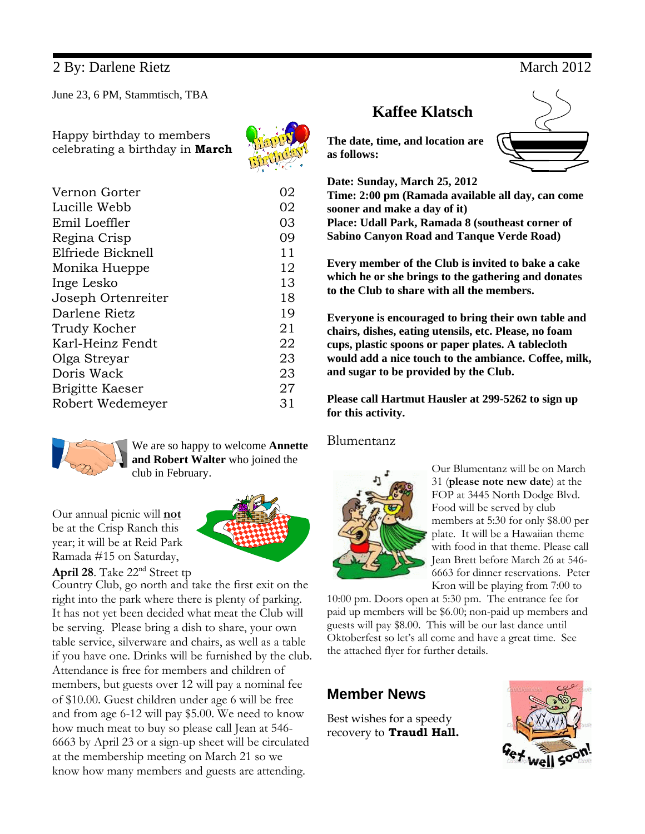## 2 By: Darlene Rietz March 2012

June 23, 6 PM, Stammtisch, TBA

Happy birthday to members celebrating a birthday in **March**



| Vernon Gorter      | 02 |
|--------------------|----|
| Lucille Webb       | 02 |
| Emil Loeffler      | 03 |
| Regina Crisp       | 09 |
| Elfriede Bicknell  | 11 |
| Monika Hueppe      | 12 |
| Inge Lesko         | 13 |
| Joseph Ortenreiter | 18 |
| Darlene Rietz      | 19 |
| Trudy Kocher       | 21 |
| Karl-Heinz Fendt   | 22 |
| Olga Streyar       | 23 |
| Doris Wack         | 23 |
| Brigitte Kaeser    | 27 |
| Robert Wedemeyer   | 31 |
|                    |    |



We are so happy to welcome **Annette and Robert Walter** who joined the club in February.

Our annual picnic will **not** be at the Crisp Ranch this year; it will be at Reid Park Ramada #15 on Saturday,



**April 28**. Take 22nd Street tp

Country Club, go north and take the first exit on the right into the park where there is plenty of parking. It has not yet been decided what meat the Club will be serving. Please bring a dish to share, your own table service, silverware and chairs, as well as a table if you have one. Drinks will be furnished by the club. Attendance is free for members and children of members, but guests over 12 will pay a nominal fee of \$10.00. Guest children under age 6 will be free and from age 6-12 will pay \$5.00. We need to know how much meat to buy so please call Jean at 546- 6663 by April 23 or a sign-up sheet will be circulated at the membership meeting on March 21 so we know how many members and guests are attending.

# **Kaffee Klatsch**

**The date, time, and location are as follows:**

**Date: Sunday, March 25, 2012**

**Time: 2:00 pm (Ramada available all day, can come sooner and make a day of it) Place: Udall Park, Ramada 8 (southeast corner of**

**Sabino Canyon Road and Tanque Verde Road)**

**Every member of the Club is invited to bake a cake which he or she brings to the gathering and donates to the Club to share with all the members.**

**Everyone is encouraged to bring their own table and chairs, dishes, eating utensils, etc. Please, no foam cups, plastic spoons or paper plates. A tablecloth would add a nice touch to the ambiance. Coffee, milk, and sugar to be provided by the Club.**

**Please call Hartmut Hausler at 299-5262 to sign up for this activity.**

### Blumentanz



Our Blumentanz will be on March 31 (**please note new date**) at the FOP at 3445 North Dodge Blvd. Food will be served by club members at 5:30 for only \$8.00 per plate. It will be a Hawaiian theme with food in that theme. Please call Jean Brett before March 26 at 546- 6663 for dinner reservations. Peter Kron will be playing from 7:00 to

10:00 pm. Doors open at 5:30 pm. The entrance fee for paid up members will be \$6.00; non-paid up members and guests will pay \$8.00. This will be our last dance until Oktoberfest so let's all come and have a great time. See the attached flyer for further details.

## **Member News**

Best wishes for a speedy recovery to **Traudl Hall.**



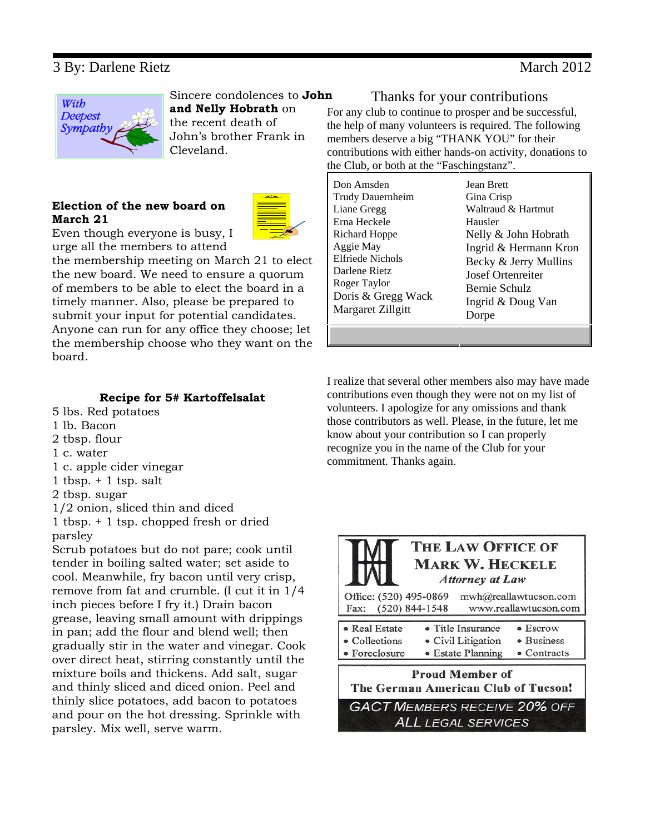## 3 By: Darlene Rietz March 2012



Sincere condolences to **John and Nelly Hobrath** on the recent death of John's brother Frank in

Cleveland.

### **Election of the new board on March 21**



Even though everyone is busy, I urge all the members to attend

the membership meeting on March 21 to elect the new board. We need to ensure a quorum of members to be able to elect the board in a timely manner. Also, please be prepared to submit your input for potential candidates. Anyone can run for any office they choose; let the membership choose who they want on the board.

## **Recipe for 5# Kartoffelsalat**

- 5 lbs. Red potatoes
- 1 lb. Bacon
- 2 tbsp. flour
- 1 c. water
- 1 c. apple cider vinegar
- 1 tbsp. + 1 tsp. salt
- 2 tbsp. sugar
- 1/2 onion, sliced thin and diced

1 tbsp. + 1 tsp. chopped fresh or dried parsley

Scrub potatoes but do not pare; cook until tender in boiling salted water; set aside to cool. Meanwhile, fry bacon until very crisp, remove from fat and crumble. (I cut it in 1/4 inch pieces before I fry it.) Drain bacon grease, leaving small amount with drippings in pan; add the flour and blend well; then gradually stir in the water and vinegar. Cook over direct heat, stirring constantly until the mixture boils and thickens. Add salt, sugar and thinly sliced and diced onion. Peel and thinly slice potatoes, add bacon to potatoes and pour on the hot dressing. Sprinkle with parsley. Mix well, serve warm.

### Thanks for your contributions

For any club to continue to prosper and be successful, the help of many volunteers is required. The following members deserve a big "THANK YOU" for their contributions with either hands-on activity, donations to the Club, or both at the "Faschingstanz".

I realize that several other members also may have made contributions even though they were not on my list of volunteers. I apologize for any omissions and thank those contributors as well. Please, in the future, let me know about your contribution so I can properly recognize you in the name of the Club for your commitment. Thanks again.